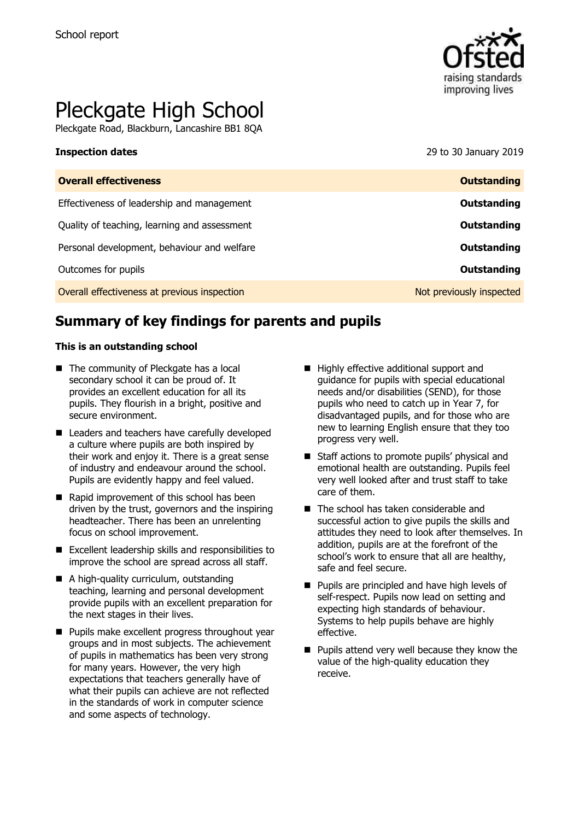

# Pleckgate High School

Pleckgate Road, Blackburn, Lancashire BB1 8QA

**Inspection dates** 29 to 30 January 2019

| <b>Overall effectiveness</b>                 | <b>Outstanding</b>       |
|----------------------------------------------|--------------------------|
| Effectiveness of leadership and management   | Outstanding              |
| Quality of teaching, learning and assessment | Outstanding              |
| Personal development, behaviour and welfare  | Outstanding              |
| Outcomes for pupils                          | Outstanding              |
| Overall effectiveness at previous inspection | Not previously inspected |

# **Summary of key findings for parents and pupils**

### **This is an outstanding school**

- The community of Pleckgate has a local secondary school it can be proud of. It provides an excellent education for all its pupils. They flourish in a bright, positive and secure environment.
- Leaders and teachers have carefully developed a culture where pupils are both inspired by their work and enjoy it. There is a great sense of industry and endeavour around the school. Pupils are evidently happy and feel valued.
- Rapid improvement of this school has been driven by the trust, governors and the inspiring headteacher. There has been an unrelenting focus on school improvement.
- Excellent leadership skills and responsibilities to improve the school are spread across all staff.
- A high-quality curriculum, outstanding teaching, learning and personal development provide pupils with an excellent preparation for the next stages in their lives.
- **Pupils make excellent progress throughout year** groups and in most subjects. The achievement of pupils in mathematics has been very strong for many years. However, the very high expectations that teachers generally have of what their pupils can achieve are not reflected in the standards of work in computer science and some aspects of technology.
- Highly effective additional support and guidance for pupils with special educational needs and/or disabilities (SEND), for those pupils who need to catch up in Year 7, for disadvantaged pupils, and for those who are new to learning English ensure that they too progress very well.
- Staff actions to promote pupils' physical and emotional health are outstanding. Pupils feel very well looked after and trust staff to take care of them.
- The school has taken considerable and successful action to give pupils the skills and attitudes they need to look after themselves. In addition, pupils are at the forefront of the school's work to ensure that all are healthy, safe and feel secure.
- **Pupils are principled and have high levels of** self-respect. Pupils now lead on setting and expecting high standards of behaviour. Systems to help pupils behave are highly effective.
- $\blacksquare$  Pupils attend very well because they know the value of the high-quality education they receive.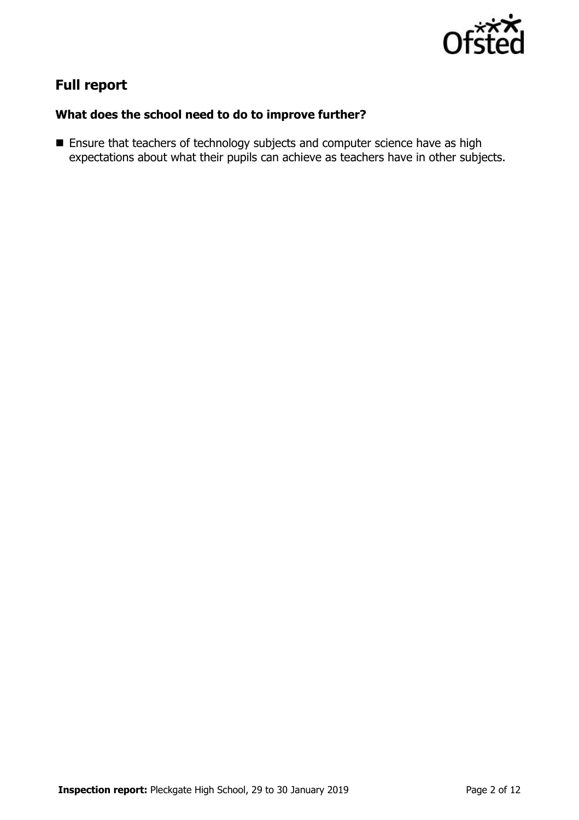

# **Full report**

### **What does the school need to do to improve further?**

**Ensure that teachers of technology subjects and computer science have as high** expectations about what their pupils can achieve as teachers have in other subjects.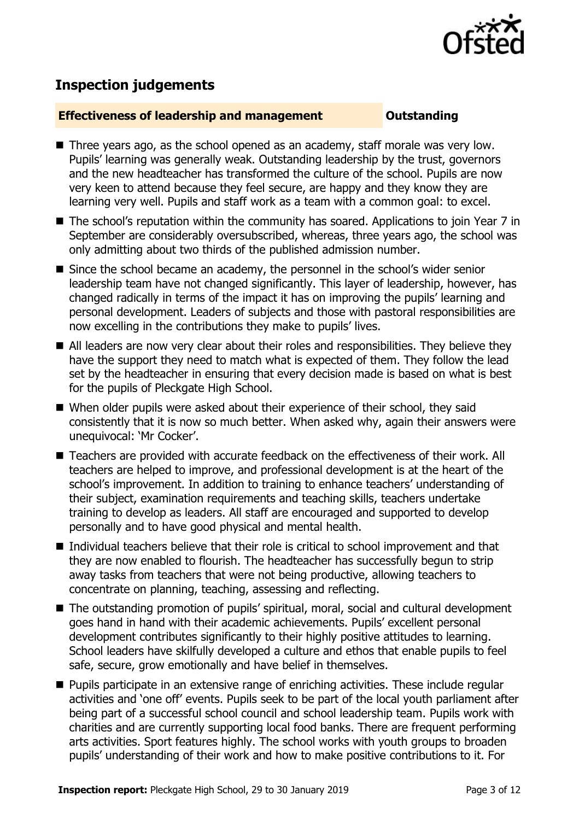

# **Inspection judgements**

### **Effectiveness of leadership and management COULDER COULDER OUTSTANDING**

- Three years ago, as the school opened as an academy, staff morale was very low. Pupils' learning was generally weak. Outstanding leadership by the trust, governors and the new headteacher has transformed the culture of the school. Pupils are now very keen to attend because they feel secure, are happy and they know they are learning very well. Pupils and staff work as a team with a common goal: to excel.
- The school's reputation within the community has soared. Applications to join Year 7 in September are considerably oversubscribed, whereas, three years ago, the school was only admitting about two thirds of the published admission number.
- Since the school became an academy, the personnel in the school's wider senior leadership team have not changed significantly. This layer of leadership, however, has changed radically in terms of the impact it has on improving the pupils' learning and personal development. Leaders of subjects and those with pastoral responsibilities are now excelling in the contributions they make to pupils' lives.
- All leaders are now very clear about their roles and responsibilities. They believe they have the support they need to match what is expected of them. They follow the lead set by the headteacher in ensuring that every decision made is based on what is best for the pupils of Pleckgate High School.
- When older pupils were asked about their experience of their school, they said consistently that it is now so much better. When asked why, again their answers were unequivocal: 'Mr Cocker'.
- Teachers are provided with accurate feedback on the effectiveness of their work. All teachers are helped to improve, and professional development is at the heart of the school's improvement. In addition to training to enhance teachers' understanding of their subject, examination requirements and teaching skills, teachers undertake training to develop as leaders. All staff are encouraged and supported to develop personally and to have good physical and mental health.
- Individual teachers believe that their role is critical to school improvement and that they are now enabled to flourish. The headteacher has successfully begun to strip away tasks from teachers that were not being productive, allowing teachers to concentrate on planning, teaching, assessing and reflecting.
- The outstanding promotion of pupils' spiritual, moral, social and cultural development goes hand in hand with their academic achievements. Pupils' excellent personal development contributes significantly to their highly positive attitudes to learning. School leaders have skilfully developed a culture and ethos that enable pupils to feel safe, secure, grow emotionally and have belief in themselves.
- **Pupils participate in an extensive range of enriching activities. These include regular** activities and 'one off' events. Pupils seek to be part of the local youth parliament after being part of a successful school council and school leadership team. Pupils work with charities and are currently supporting local food banks. There are frequent performing arts activities. Sport features highly. The school works with youth groups to broaden pupils' understanding of their work and how to make positive contributions to it. For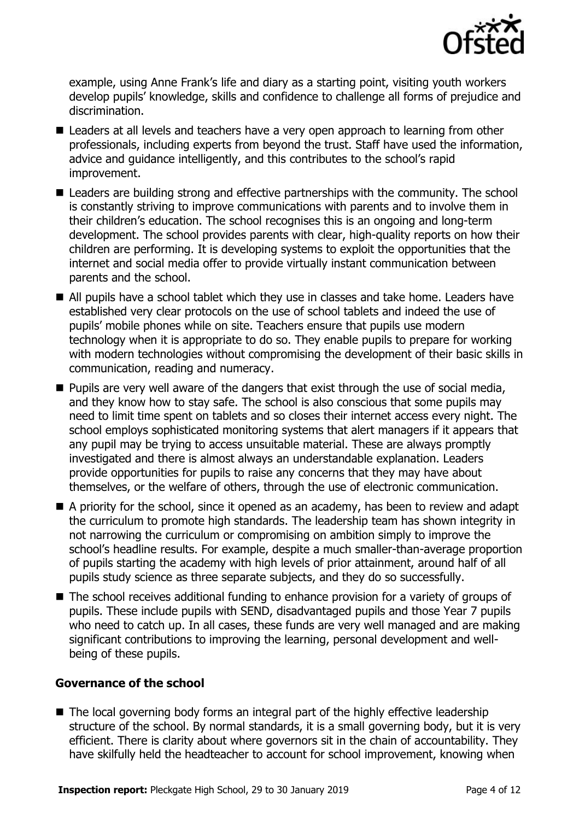

example, using Anne Frank's life and diary as a starting point, visiting youth workers develop pupils' knowledge, skills and confidence to challenge all forms of prejudice and discrimination.

- Leaders at all levels and teachers have a very open approach to learning from other professionals, including experts from beyond the trust. Staff have used the information, advice and guidance intelligently, and this contributes to the school's rapid improvement.
- Leaders are building strong and effective partnerships with the community. The school is constantly striving to improve communications with parents and to involve them in their children's education. The school recognises this is an ongoing and long-term development. The school provides parents with clear, high-quality reports on how their children are performing. It is developing systems to exploit the opportunities that the internet and social media offer to provide virtually instant communication between parents and the school.
- All pupils have a school tablet which they use in classes and take home. Leaders have established very clear protocols on the use of school tablets and indeed the use of pupils' mobile phones while on site. Teachers ensure that pupils use modern technology when it is appropriate to do so. They enable pupils to prepare for working with modern technologies without compromising the development of their basic skills in communication, reading and numeracy.
- **Pupils are very well aware of the dangers that exist through the use of social media,** and they know how to stay safe. The school is also conscious that some pupils may need to limit time spent on tablets and so closes their internet access every night. The school employs sophisticated monitoring systems that alert managers if it appears that any pupil may be trying to access unsuitable material. These are always promptly investigated and there is almost always an understandable explanation. Leaders provide opportunities for pupils to raise any concerns that they may have about themselves, or the welfare of others, through the use of electronic communication.
- A priority for the school, since it opened as an academy, has been to review and adapt the curriculum to promote high standards. The leadership team has shown integrity in not narrowing the curriculum or compromising on ambition simply to improve the school's headline results. For example, despite a much smaller-than-average proportion of pupils starting the academy with high levels of prior attainment, around half of all pupils study science as three separate subjects, and they do so successfully.
- The school receives additional funding to enhance provision for a variety of groups of pupils. These include pupils with SEND, disadvantaged pupils and those Year 7 pupils who need to catch up. In all cases, these funds are very well managed and are making significant contributions to improving the learning, personal development and wellbeing of these pupils.

### **Governance of the school**

■ The local governing body forms an integral part of the highly effective leadership structure of the school. By normal standards, it is a small governing body, but it is very efficient. There is clarity about where governors sit in the chain of accountability. They have skilfully held the headteacher to account for school improvement, knowing when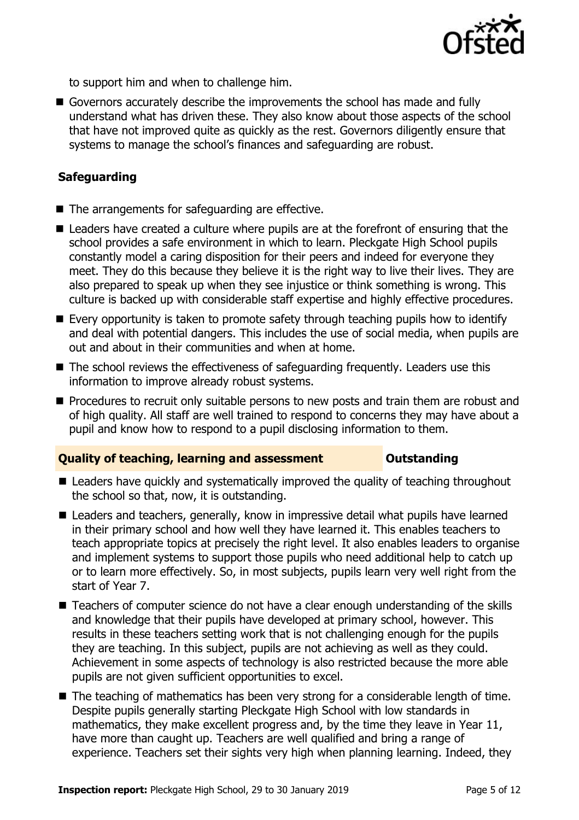

to support him and when to challenge him.

Governors accurately describe the improvements the school has made and fully understand what has driven these. They also know about those aspects of the school that have not improved quite as quickly as the rest. Governors diligently ensure that systems to manage the school's finances and safeguarding are robust.

### **Safeguarding**

- The arrangements for safeguarding are effective.
- Leaders have created a culture where pupils are at the forefront of ensuring that the school provides a safe environment in which to learn. Pleckgate High School pupils constantly model a caring disposition for their peers and indeed for everyone they meet. They do this because they believe it is the right way to live their lives. They are also prepared to speak up when they see injustice or think something is wrong. This culture is backed up with considerable staff expertise and highly effective procedures.
- Every opportunity is taken to promote safety through teaching pupils how to identify and deal with potential dangers. This includes the use of social media, when pupils are out and about in their communities and when at home.
- The school reviews the effectiveness of safeguarding frequently. Leaders use this information to improve already robust systems.
- **Procedures to recruit only suitable persons to new posts and train them are robust and** of high quality. All staff are well trained to respond to concerns they may have about a pupil and know how to respond to a pupil disclosing information to them.

### **Quality of teaching, learning and assessment <b>Caucalian** Outstanding

- Leaders have quickly and systematically improved the quality of teaching throughout the school so that, now, it is outstanding.
- Leaders and teachers, generally, know in impressive detail what pupils have learned in their primary school and how well they have learned it. This enables teachers to teach appropriate topics at precisely the right level. It also enables leaders to organise and implement systems to support those pupils who need additional help to catch up or to learn more effectively. So, in most subjects, pupils learn very well right from the start of Year 7.
- Teachers of computer science do not have a clear enough understanding of the skills and knowledge that their pupils have developed at primary school, however. This results in these teachers setting work that is not challenging enough for the pupils they are teaching. In this subject, pupils are not achieving as well as they could. Achievement in some aspects of technology is also restricted because the more able pupils are not given sufficient opportunities to excel.
- The teaching of mathematics has been very strong for a considerable length of time. Despite pupils generally starting Pleckgate High School with low standards in mathematics, they make excellent progress and, by the time they leave in Year 11, have more than caught up. Teachers are well qualified and bring a range of experience. Teachers set their sights very high when planning learning. Indeed, they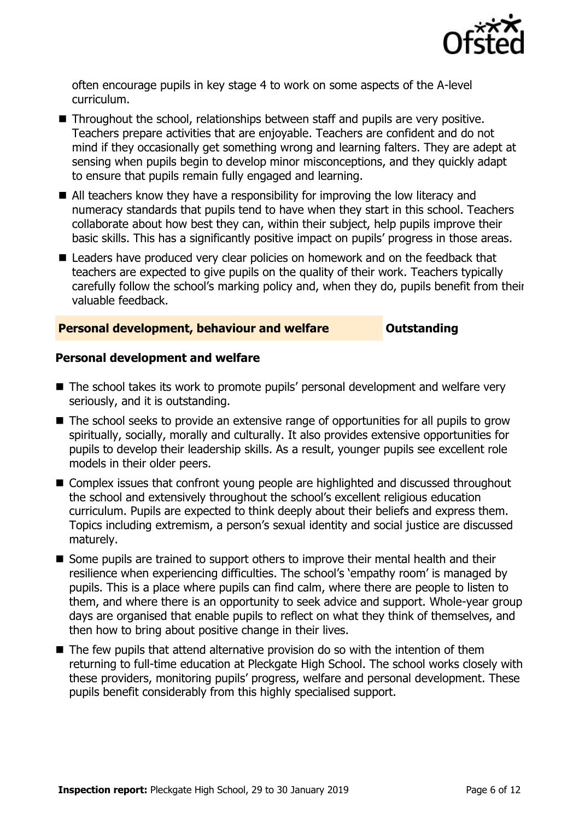

often encourage pupils in key stage 4 to work on some aspects of the A-level curriculum.

- Throughout the school, relationships between staff and pupils are very positive. Teachers prepare activities that are enjoyable. Teachers are confident and do not mind if they occasionally get something wrong and learning falters. They are adept at sensing when pupils begin to develop minor misconceptions, and they quickly adapt to ensure that pupils remain fully engaged and learning.
- All teachers know they have a responsibility for improving the low literacy and numeracy standards that pupils tend to have when they start in this school. Teachers collaborate about how best they can, within their subject, help pupils improve their basic skills. This has a significantly positive impact on pupils' progress in those areas.
- Leaders have produced very clear policies on homework and on the feedback that teachers are expected to give pupils on the quality of their work. Teachers typically carefully follow the school's marking policy and, when they do, pupils benefit from their valuable feedback.

### **Personal development, behaviour and welfare <b>COUTS** Outstanding

### **Personal development and welfare**

- The school takes its work to promote pupils' personal development and welfare very seriously, and it is outstanding.
- The school seeks to provide an extensive range of opportunities for all pupils to grow spiritually, socially, morally and culturally. It also provides extensive opportunities for pupils to develop their leadership skills. As a result, younger pupils see excellent role models in their older peers.
- Complex issues that confront young people are highlighted and discussed throughout the school and extensively throughout the school's excellent religious education curriculum. Pupils are expected to think deeply about their beliefs and express them. Topics including extremism, a person's sexual identity and social justice are discussed maturely.
- Some pupils are trained to support others to improve their mental health and their resilience when experiencing difficulties. The school's 'empathy room' is managed by pupils. This is a place where pupils can find calm, where there are people to listen to them, and where there is an opportunity to seek advice and support. Whole-year group days are organised that enable pupils to reflect on what they think of themselves, and then how to bring about positive change in their lives.
- $\blacksquare$  The few pupils that attend alternative provision do so with the intention of them returning to full-time education at Pleckgate High School. The school works closely with these providers, monitoring pupils' progress, welfare and personal development. These pupils benefit considerably from this highly specialised support.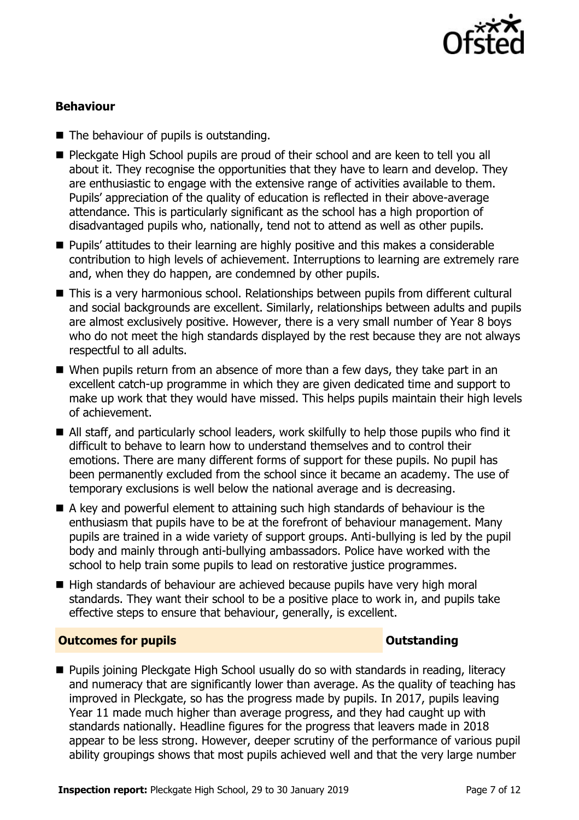

### **Behaviour**

- $\blacksquare$  The behaviour of pupils is outstanding.
- Pleckgate High School pupils are proud of their school and are keen to tell you all about it. They recognise the opportunities that they have to learn and develop. They are enthusiastic to engage with the extensive range of activities available to them. Pupils' appreciation of the quality of education is reflected in their above-average attendance. This is particularly significant as the school has a high proportion of disadvantaged pupils who, nationally, tend not to attend as well as other pupils.
- **Pupils'** attitudes to their learning are highly positive and this makes a considerable contribution to high levels of achievement. Interruptions to learning are extremely rare and, when they do happen, are condemned by other pupils.
- This is a very harmonious school. Relationships between pupils from different cultural and social backgrounds are excellent. Similarly, relationships between adults and pupils are almost exclusively positive. However, there is a very small number of Year 8 boys who do not meet the high standards displayed by the rest because they are not always respectful to all adults.
- When pupils return from an absence of more than a few days, they take part in an excellent catch-up programme in which they are given dedicated time and support to make up work that they would have missed. This helps pupils maintain their high levels of achievement.
- All staff, and particularly school leaders, work skilfully to help those pupils who find it difficult to behave to learn how to understand themselves and to control their emotions. There are many different forms of support for these pupils. No pupil has been permanently excluded from the school since it became an academy. The use of temporary exclusions is well below the national average and is decreasing.
- A key and powerful element to attaining such high standards of behaviour is the enthusiasm that pupils have to be at the forefront of behaviour management. Many pupils are trained in a wide variety of support groups. Anti-bullying is led by the pupil body and mainly through anti-bullying ambassadors. Police have worked with the school to help train some pupils to lead on restorative justice programmes.
- High standards of behaviour are achieved because pupils have very high moral standards. They want their school to be a positive place to work in, and pupils take effective steps to ensure that behaviour, generally, is excellent.

### **Outcomes for pupils Outstanding**

■ Pupils joining Pleckgate High School usually do so with standards in reading, literacy and numeracy that are significantly lower than average. As the quality of teaching has improved in Pleckgate, so has the progress made by pupils. In 2017, pupils leaving Year 11 made much higher than average progress, and they had caught up with standards nationally. Headline figures for the progress that leavers made in 2018 appear to be less strong. However, deeper scrutiny of the performance of various pupil ability groupings shows that most pupils achieved well and that the very large number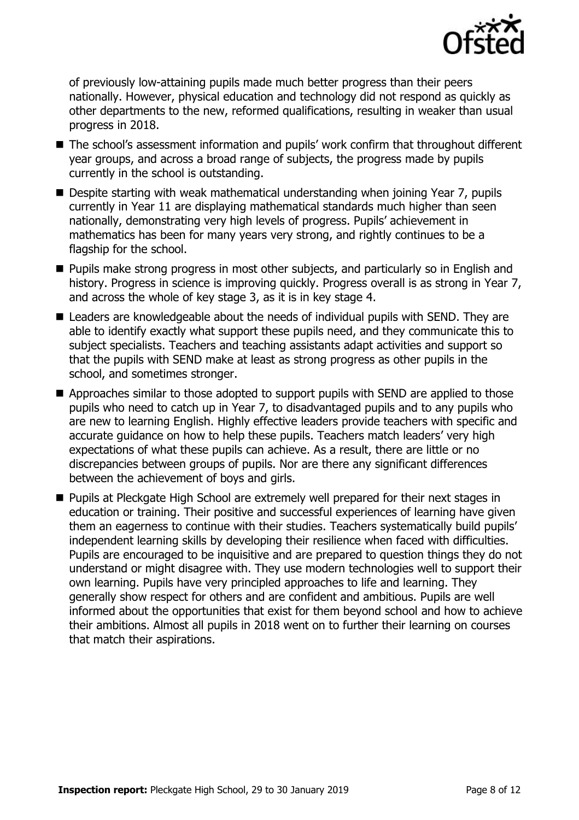

of previously low-attaining pupils made much better progress than their peers nationally. However, physical education and technology did not respond as quickly as other departments to the new, reformed qualifications, resulting in weaker than usual progress in 2018.

- The school's assessment information and pupils' work confirm that throughout different year groups, and across a broad range of subjects, the progress made by pupils currently in the school is outstanding.
- Despite starting with weak mathematical understanding when joining Year 7, pupils currently in Year 11 are displaying mathematical standards much higher than seen nationally, demonstrating very high levels of progress. Pupils' achievement in mathematics has been for many years very strong, and rightly continues to be a flagship for the school.
- **Pupils make strong progress in most other subjects, and particularly so in English and** history. Progress in science is improving quickly. Progress overall is as strong in Year 7, and across the whole of key stage 3, as it is in key stage 4.
- Leaders are knowledgeable about the needs of individual pupils with SEND. They are able to identify exactly what support these pupils need, and they communicate this to subject specialists. Teachers and teaching assistants adapt activities and support so that the pupils with SEND make at least as strong progress as other pupils in the school, and sometimes stronger.
- Approaches similar to those adopted to support pupils with SEND are applied to those pupils who need to catch up in Year 7, to disadvantaged pupils and to any pupils who are new to learning English. Highly effective leaders provide teachers with specific and accurate guidance on how to help these pupils. Teachers match leaders' very high expectations of what these pupils can achieve. As a result, there are little or no discrepancies between groups of pupils. Nor are there any significant differences between the achievement of boys and girls.
- **Pupils at Pleckgate High School are extremely well prepared for their next stages in** education or training. Their positive and successful experiences of learning have given them an eagerness to continue with their studies. Teachers systematically build pupils' independent learning skills by developing their resilience when faced with difficulties. Pupils are encouraged to be inquisitive and are prepared to question things they do not understand or might disagree with. They use modern technologies well to support their own learning. Pupils have very principled approaches to life and learning. They generally show respect for others and are confident and ambitious. Pupils are well informed about the opportunities that exist for them beyond school and how to achieve their ambitions. Almost all pupils in 2018 went on to further their learning on courses that match their aspirations.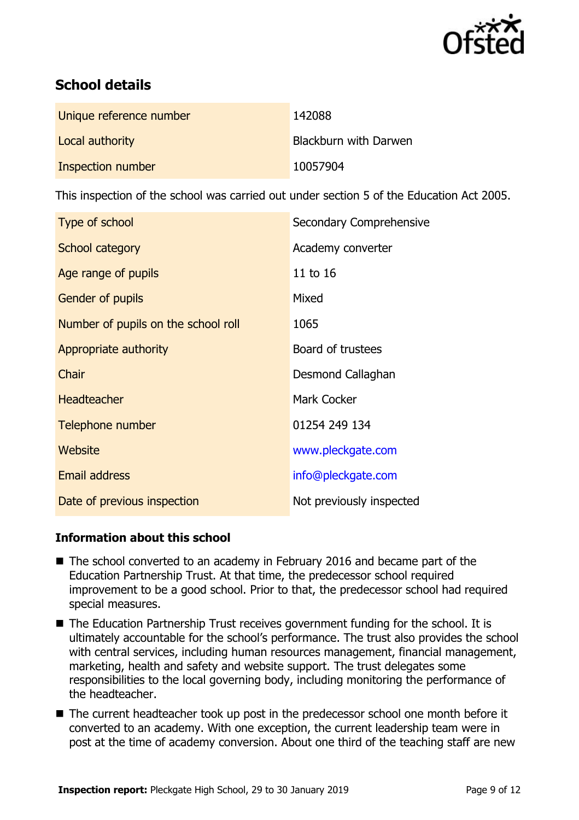

# **School details**

| Unique reference number | 142088                |
|-------------------------|-----------------------|
| Local authority         | Blackburn with Darwen |
| Inspection number       | 10057904              |

This inspection of the school was carried out under section 5 of the Education Act 2005.

| Type of school                      | Secondary Comprehensive  |
|-------------------------------------|--------------------------|
| School category                     | Academy converter        |
| Age range of pupils                 | 11 to 16                 |
| Gender of pupils                    | Mixed                    |
| Number of pupils on the school roll | 1065                     |
| Appropriate authority               | Board of trustees        |
| Chair                               | Desmond Callaghan        |
| <b>Headteacher</b>                  | <b>Mark Cocker</b>       |
| Telephone number                    | 01254 249 134            |
| <b>Website</b>                      | www.pleckgate.com        |
| <b>Email address</b>                | info@pleckgate.com       |
| Date of previous inspection         | Not previously inspected |

### **Information about this school**

- The school converted to an academy in February 2016 and became part of the Education Partnership Trust. At that time, the predecessor school required improvement to be a good school. Prior to that, the predecessor school had required special measures.
- The Education Partnership Trust receives government funding for the school. It is ultimately accountable for the school's performance. The trust also provides the school with central services, including human resources management, financial management, marketing, health and safety and website support. The trust delegates some responsibilities to the local governing body, including monitoring the performance of the headteacher.
- The current headteacher took up post in the predecessor school one month before it converted to an academy. With one exception, the current leadership team were in post at the time of academy conversion. About one third of the teaching staff are new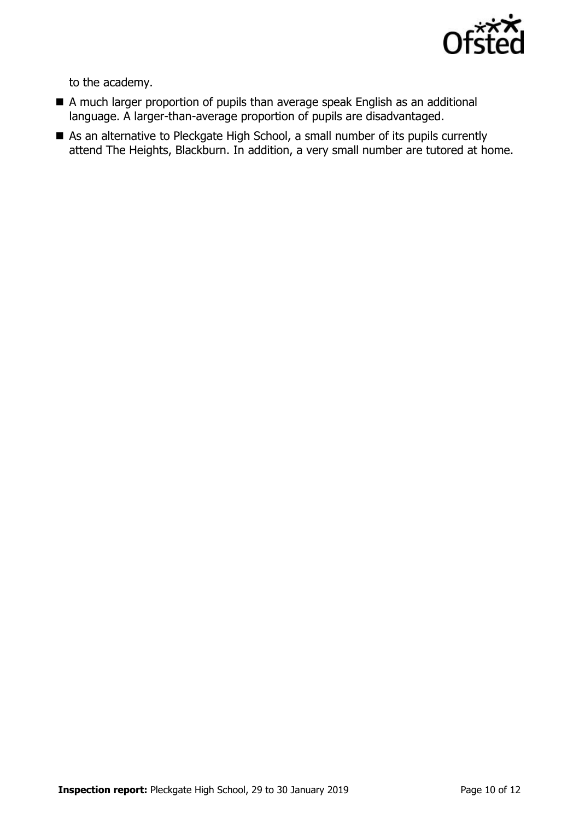

to the academy.

- A much larger proportion of pupils than average speak English as an additional language. A larger-than-average proportion of pupils are disadvantaged.
- As an alternative to Pleckgate High School, a small number of its pupils currently attend The Heights, Blackburn. In addition, a very small number are tutored at home.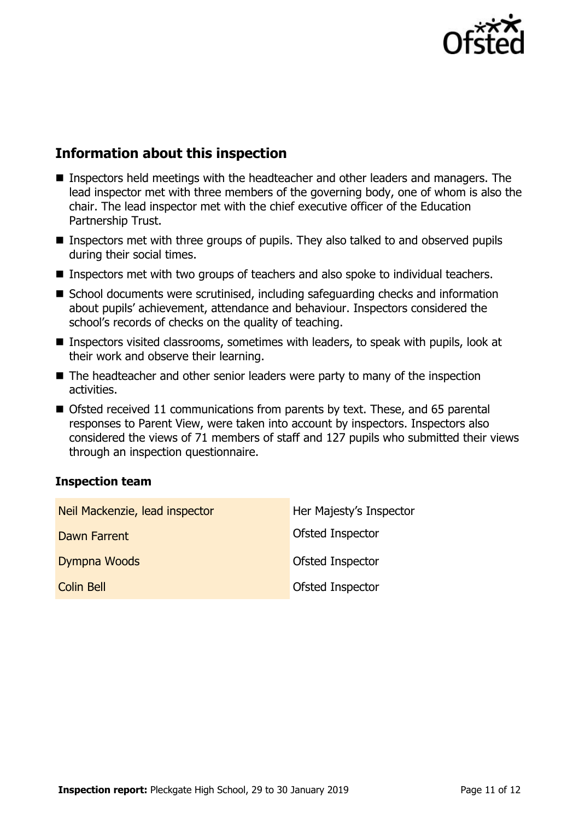

# **Information about this inspection**

- Inspectors held meetings with the headteacher and other leaders and managers. The lead inspector met with three members of the governing body, one of whom is also the chair. The lead inspector met with the chief executive officer of the Education Partnership Trust.
- Inspectors met with three groups of pupils. They also talked to and observed pupils during their social times.
- Inspectors met with two groups of teachers and also spoke to individual teachers.
- School documents were scrutinised, including safeguarding checks and information about pupils' achievement, attendance and behaviour. Inspectors considered the school's records of checks on the quality of teaching.
- Inspectors visited classrooms, sometimes with leaders, to speak with pupils, look at their work and observe their learning.
- The headteacher and other senior leaders were party to many of the inspection activities.
- Ofsted received 11 communications from parents by text. These, and 65 parental responses to Parent View, were taken into account by inspectors. Inspectors also considered the views of 71 members of staff and 127 pupils who submitted their views through an inspection questionnaire.

### **Inspection team**

| Neil Mackenzie, lead inspector | Her Majesty's Inspector |
|--------------------------------|-------------------------|
| Dawn Farrent                   | <b>Ofsted Inspector</b> |
| Dympna Woods                   | Ofsted Inspector        |
| Colin Bell                     | Ofsted Inspector        |